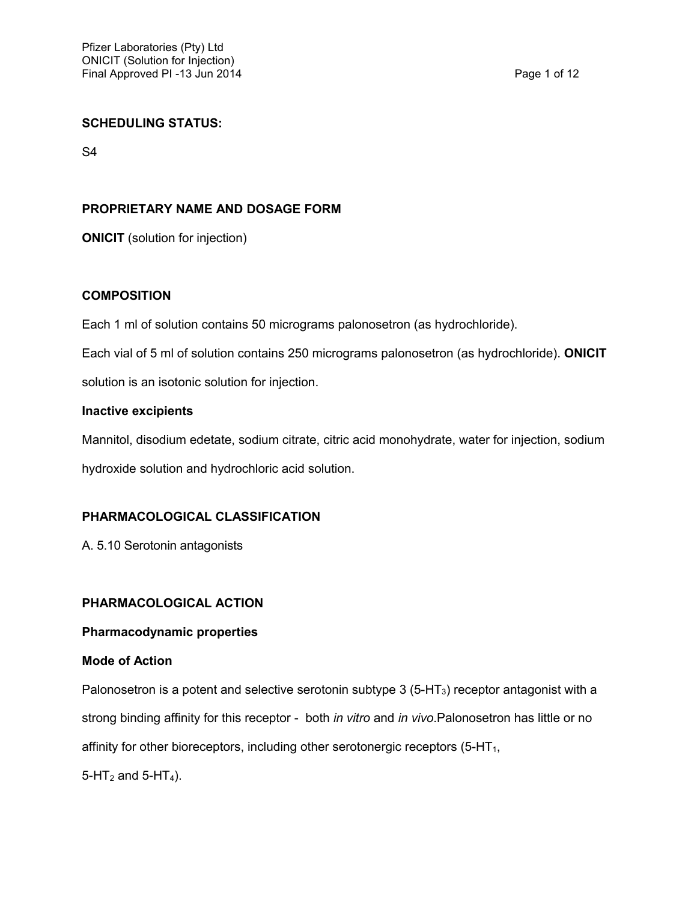#### **SCHEDULING STATUS:**

S4

## **PROPRIETARY NAME AND DOSAGE FORM**

**ONICIT** (solution for injection)

## **COMPOSITION**

Each 1 ml of solution contains 50 micrograms palonosetron (as hydrochloride).

Each vial of 5 ml of solution contains 250 micrograms palonosetron (as hydrochloride). **ONICIT** 

solution is an isotonic solution for injection.

#### **Inactive excipients**

Mannitol, disodium edetate, sodium citrate, citric acid monohydrate, water for injection, sodium hydroxide solution and hydrochloric acid solution.

## **PHARMACOLOGICAL CLASSIFICATION**

A. 5.10 Serotonin antagonists

## **PHARMACOLOGICAL ACTION**

# **Pharmacodynamic properties**

#### **Mode of Action**

Palonosetron is a potent and selective serotonin subtype  $3$  (5-HT<sub>3</sub>) receptor antagonist with a strong binding affinity for this receptor - both *in vitro* and *in vivo*.Palonosetron has little or no affinity for other bioreceptors, including other serotonergic receptors  $(5-HT<sub>1</sub>)$ ,  $5-HT_2$  and  $5-HT_4$ ).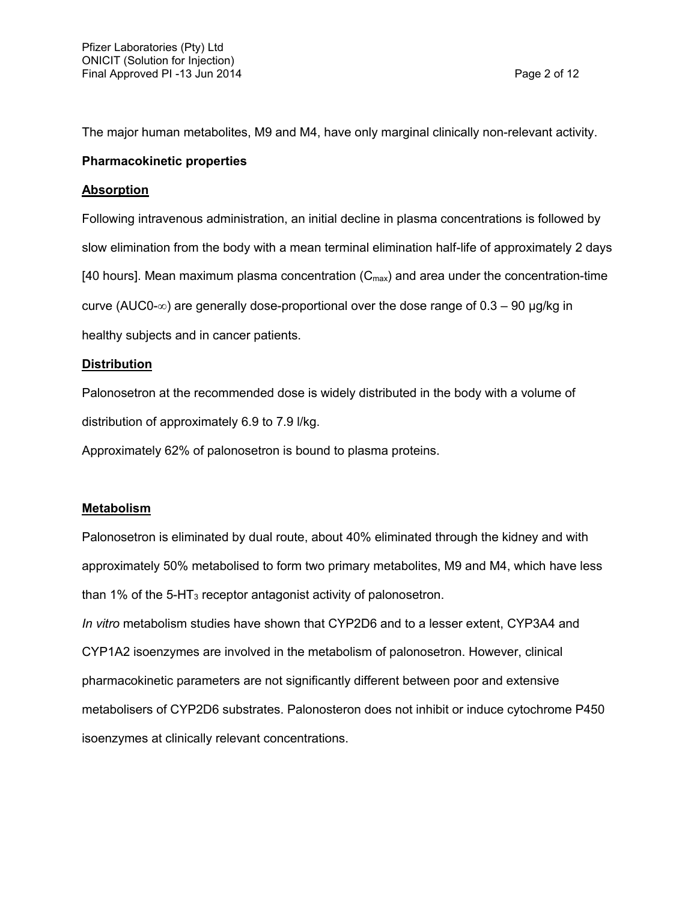The major human metabolites, M9 and M4, have only marginal clinically non-relevant activity.

#### **Pharmacokinetic properties**

#### **Absorption**

Following intravenous administration, an initial decline in plasma concentrations is followed by slow elimination from the body with a mean terminal elimination half-life of approximately 2 days [40 hours]. Mean maximum plasma concentration  $(C_{\text{max}})$  and area under the concentration-time curve (AUC0- $\infty$ ) are generally dose-proportional over the dose range of 0.3 – 90 µg/kg in healthy subjects and in cancer patients.

## **Distribution**

Palonosetron at the recommended dose is widely distributed in the body with a volume of distribution of approximately 6.9 to 7.9 l/kg.

Approximately 62% of palonosetron is bound to plasma proteins.

## **Metabolism**

Palonosetron is eliminated by dual route, about 40% eliminated through the kidney and with approximately 50% metabolised to form two primary metabolites, M9 and M4, which have less than 1% of the  $5$ -HT<sub>3</sub> receptor antagonist activity of palonosetron.

*In vitro* metabolism studies have shown that CYP2D6 and to a lesser extent, CYP3A4 and CYP1A2 isoenzymes are involved in the metabolism of palonosetron. However, clinical pharmacokinetic parameters are not significantly different between poor and extensive metabolisers of CYP2D6 substrates. Palonosteron does not inhibit or induce cytochrome P450 isoenzymes at clinically relevant concentrations.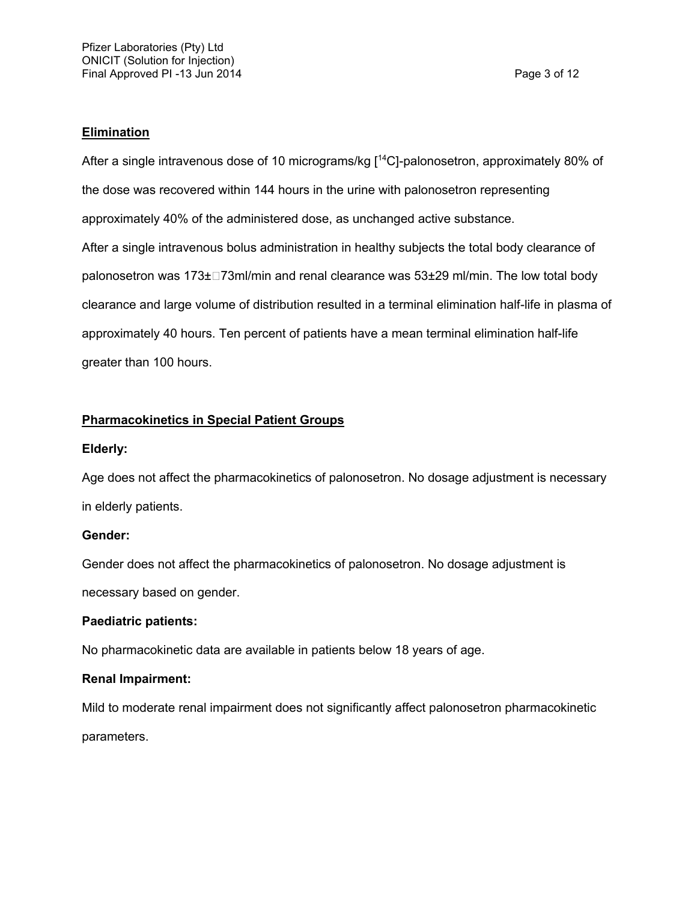#### **Elimination**

After a single intravenous dose of 10 micrograms/kg [<sup>14</sup>C]-palonosetron, approximately 80% of the dose was recovered within 144 hours in the urine with palonosetron representing approximately 40% of the administered dose, as unchanged active substance. After a single intravenous bolus administration in healthy subjects the total body clearance of palonosetron was 173±□73ml/min and renal clearance was 53±29 ml/min. The low total body clearance and large volume of distribution resulted in a terminal elimination half-life in plasma of approximately 40 hours. Ten percent of patients have a mean terminal elimination half-life greater than 100 hours.

## **Pharmacokinetics in Special Patient Groups**

#### **Elderly:**

Age does not affect the pharmacokinetics of palonosetron. No dosage adjustment is necessary in elderly patients.

## **Gender:**

Gender does not affect the pharmacokinetics of palonosetron. No dosage adjustment is necessary based on gender.

## **Paediatric patients:**

No pharmacokinetic data are available in patients below 18 years of age.

## **Renal Impairment:**

Mild to moderate renal impairment does not significantly affect palonosetron pharmacokinetic parameters.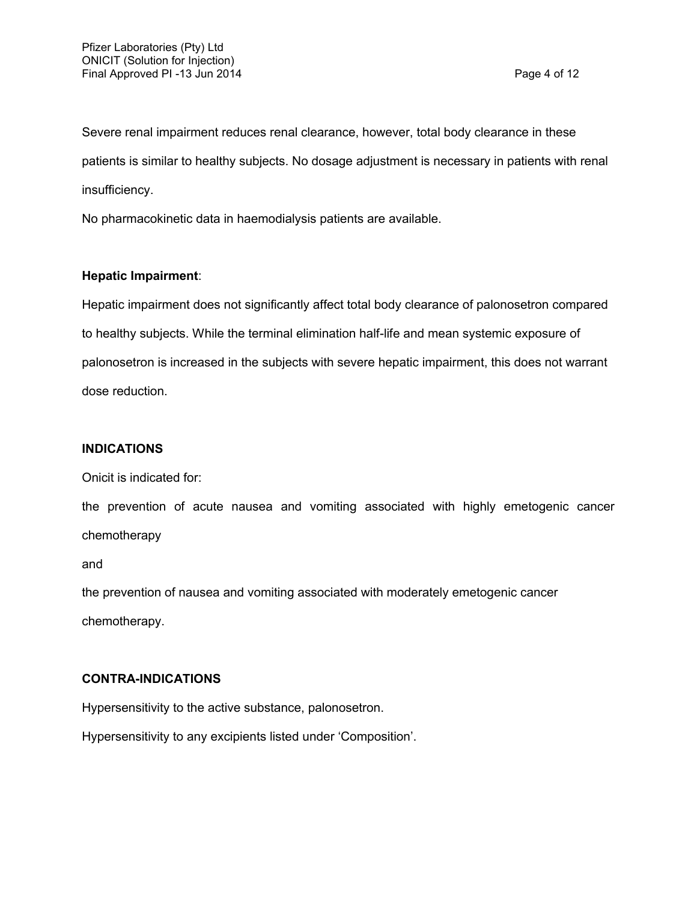Severe renal impairment reduces renal clearance, however, total body clearance in these patients is similar to healthy subjects. No dosage adjustment is necessary in patients with renal insufficiency.

No pharmacokinetic data in haemodialysis patients are available.

# **Hepatic Impairment**:

Hepatic impairment does not significantly affect total body clearance of palonosetron compared to healthy subjects. While the terminal elimination half-life and mean systemic exposure of palonosetron is increased in the subjects with severe hepatic impairment, this does not warrant dose reduction.

#### **INDICATIONS**

Onicit is indicated for:

the prevention of acute nausea and vomiting associated with highly emetogenic cancer chemotherapy

and

the prevention of nausea and vomiting associated with moderately emetogenic cancer chemotherapy.

## **CONTRA-INDICATIONS**

Hypersensitivity to the active substance, palonosetron.

Hypersensitivity to any excipients listed under 'Composition'.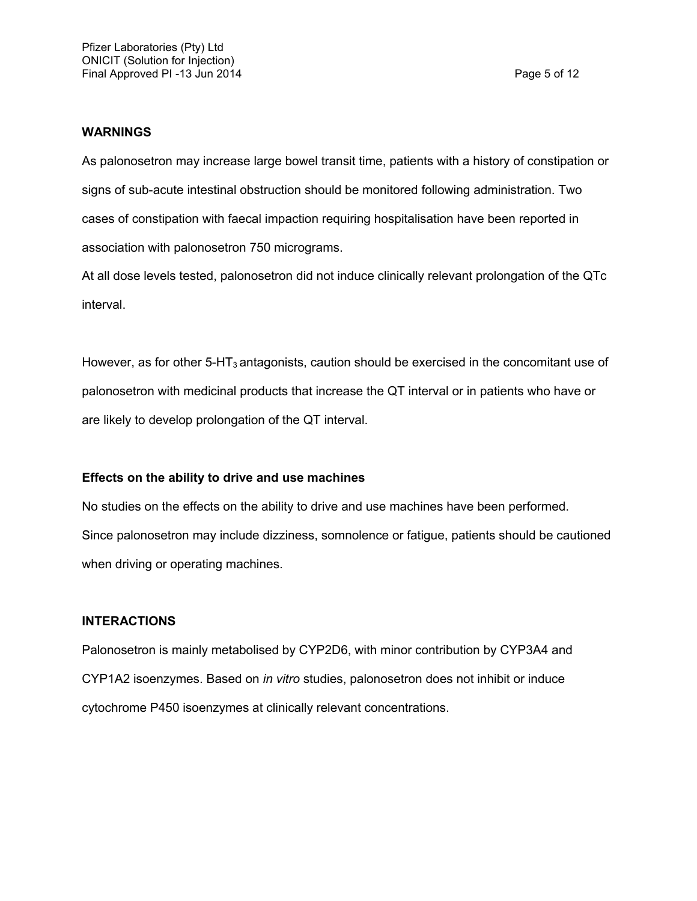#### **WARNINGS**

As palonosetron may increase large bowel transit time, patients with a history of constipation or signs of sub-acute intestinal obstruction should be monitored following administration. Two cases of constipation with faecal impaction requiring hospitalisation have been reported in association with palonosetron 750 micrograms.

At all dose levels tested, palonosetron did not induce clinically relevant prolongation of the QTc interval.

However, as for other  $5-HT_3$  antagonists, caution should be exercised in the concomitant use of palonosetron with medicinal products that increase the QT interval or in patients who have or are likely to develop prolongation of the QT interval.

#### **Effects on the ability to drive and use machines**

No studies on the effects on the ability to drive and use machines have been performed. Since palonosetron may include dizziness, somnolence or fatigue, patients should be cautioned when driving or operating machines.

#### **INTERACTIONS**

Palonosetron is mainly metabolised by CYP2D6, with minor contribution by CYP3A4 and CYP1A2 isoenzymes. Based on *in vitro* studies, palonosetron does not inhibit or induce cytochrome P450 isoenzymes at clinically relevant concentrations.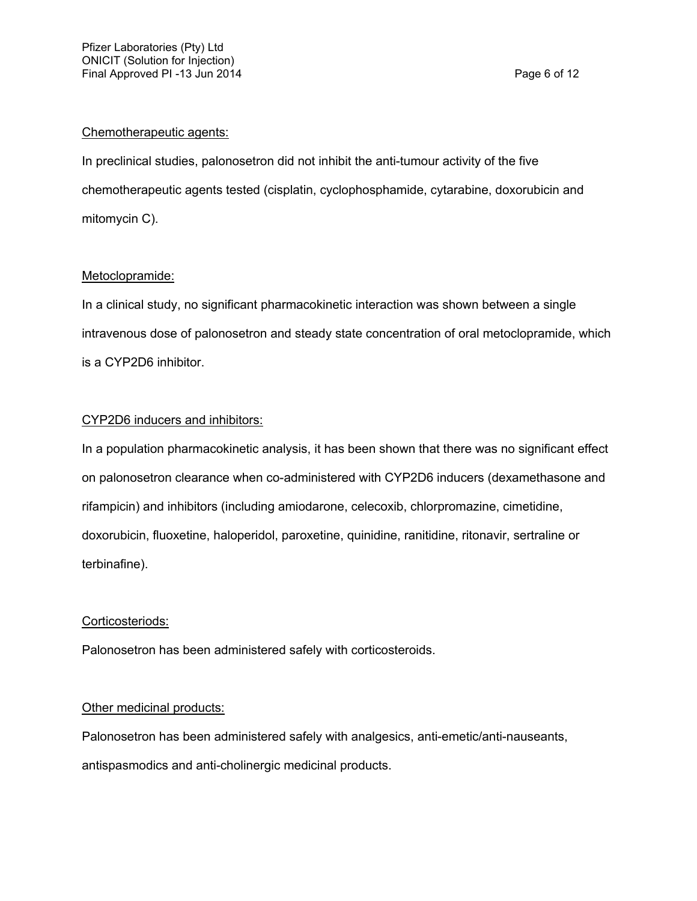#### Chemotherapeutic agents:

In preclinical studies, palonosetron did not inhibit the anti-tumour activity of the five chemotherapeutic agents tested (cisplatin, cyclophosphamide, cytarabine, doxorubicin and mitomycin C).

## Metoclopramide:

In a clinical study, no significant pharmacokinetic interaction was shown between a single intravenous dose of palonosetron and steady state concentration of oral metoclopramide, which is a CYP2D6 inhibitor.

## CYP2D6 inducers and inhibitors:

In a population pharmacokinetic analysis, it has been shown that there was no significant effect on palonosetron clearance when co-administered with CYP2D6 inducers (dexamethasone and rifampicin) and inhibitors (including amiodarone, celecoxib, chlorpromazine, cimetidine, doxorubicin, fluoxetine, haloperidol, paroxetine, quinidine, ranitidine, ritonavir, sertraline or terbinafine).

#### Corticosteriods:

Palonosetron has been administered safely with corticosteroids.

## Other medicinal products:

Palonosetron has been administered safely with analgesics, anti-emetic/anti-nauseants, antispasmodics and anti-cholinergic medicinal products.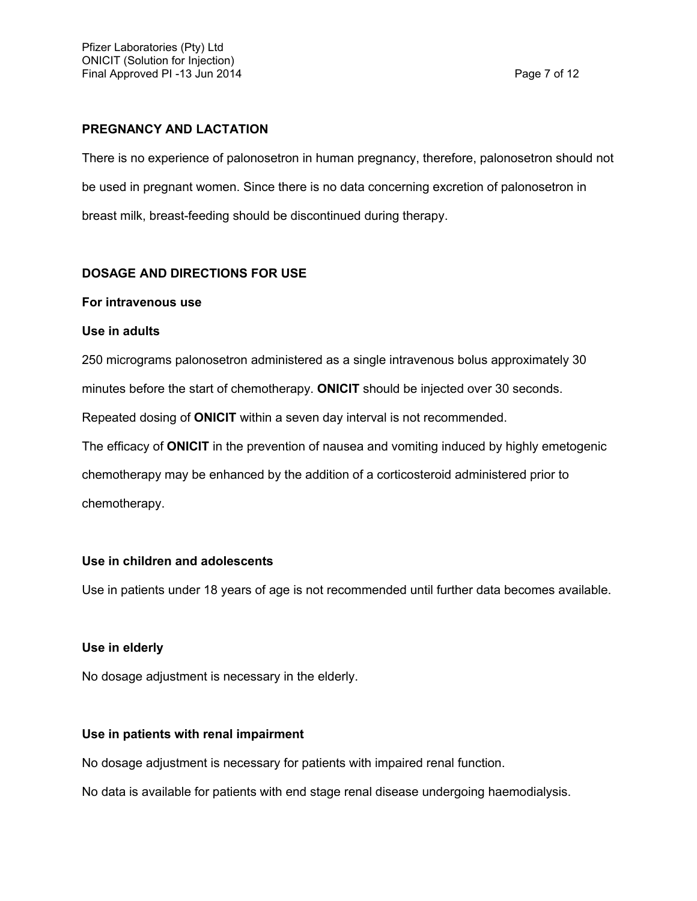## **PREGNANCY AND LACTATION**

There is no experience of palonosetron in human pregnancy, therefore, palonosetron should not be used in pregnant women. Since there is no data concerning excretion of palonosetron in breast milk, breast-feeding should be discontinued during therapy.

# **DOSAGE AND DIRECTIONS FOR USE**

## **For intravenous use**

## **Use in adults**

250 micrograms palonosetron administered as a single intravenous bolus approximately 30 minutes before the start of chemotherapy. **ONICIT** should be injected over 30 seconds. Repeated dosing of **ONICIT** within a seven day interval is not recommended. The efficacy of **ONICIT** in the prevention of nausea and vomiting induced by highly emetogenic

chemotherapy may be enhanced by the addition of a corticosteroid administered prior to chemotherapy.

## **Use in children and adolescents**

Use in patients under 18 years of age is not recommended until further data becomes available.

## **Use in elderly**

No dosage adjustment is necessary in the elderly.

## **Use in patients with renal impairment**

No dosage adjustment is necessary for patients with impaired renal function.

No data is available for patients with end stage renal disease undergoing haemodialysis.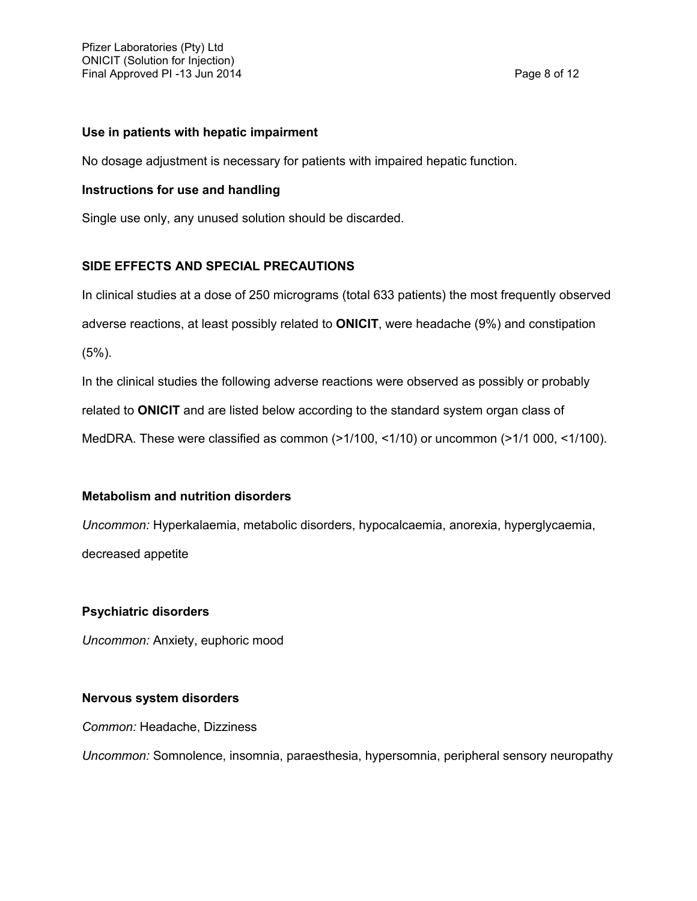#### **Use in patients with hepatic impairment**

No dosage adjustment is necessary for patients with impaired hepatic function.

#### **Instructions for use and handling**

Single use only, any unused solution should be discarded.

## **SIDE EFFECTS AND SPECIAL PRECAUTIONS**

In clinical studies at a dose of 250 micrograms (total 633 patients) the most frequently observed adverse reactions, at least possibly related to **ONICIT**, were headache (9%) and constipation (5%).

In the clinical studies the following adverse reactions were observed as possibly or probably related to **ONICIT** and are listed below according to the standard system organ class of MedDRA. These were classified as common (>1/100, <1/10) or uncommon (>1/1 000, <1/100).

## **Metabolism and nutrition disorders**

*Uncommon:* Hyperkalaemia, metabolic disorders, hypocalcaemia, anorexia, hyperglycaemia, decreased appetite

## **Psychiatric disorders**

*Uncommon:* Anxiety, euphoric mood

## **Nervous system disorders**

*Common:* Headache, Dizziness

*Uncommon:* Somnolence, insomnia, paraesthesia, hypersomnia, peripheral sensory neuropathy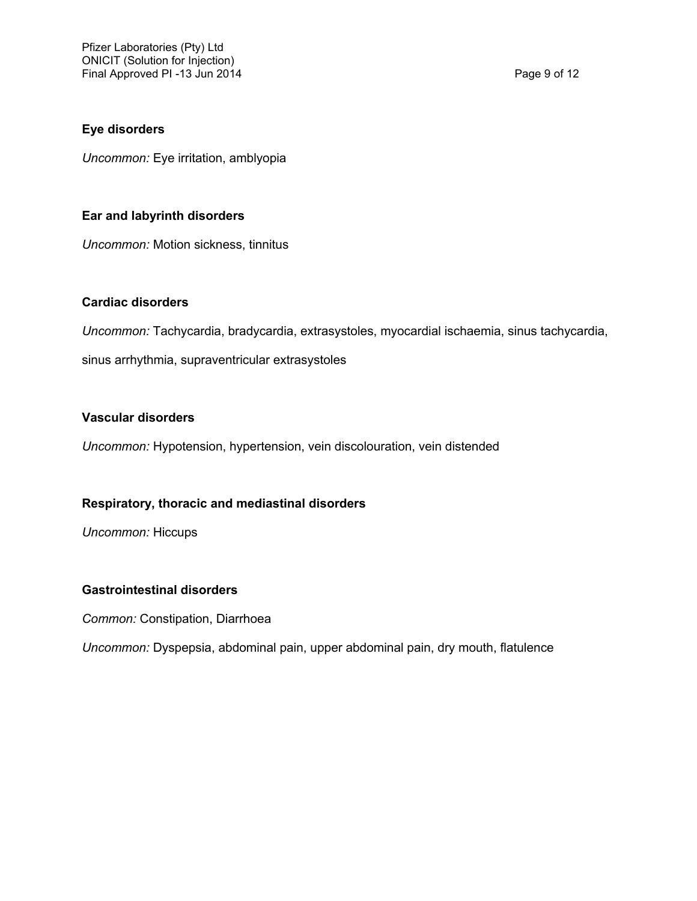#### **Eye disorders**

*Uncommon:* Eye irritation, amblyopia

#### **Ear and labyrinth disorders**

*Uncommon:* Motion sickness, tinnitus

#### **Cardiac disorders**

*Uncommon:* Tachycardia, bradycardia, extrasystoles, myocardial ischaemia, sinus tachycardia,

sinus arrhythmia, supraventricular extrasystoles

#### **Vascular disorders**

*Uncommon:* Hypotension, hypertension, vein discolouration, vein distended

## **Respiratory, thoracic and mediastinal disorders**

*Uncommon:* Hiccups

#### **Gastrointestinal disorders**

*Common:* Constipation, Diarrhoea

*Uncommon:* Dyspepsia, abdominal pain, upper abdominal pain, dry mouth, flatulence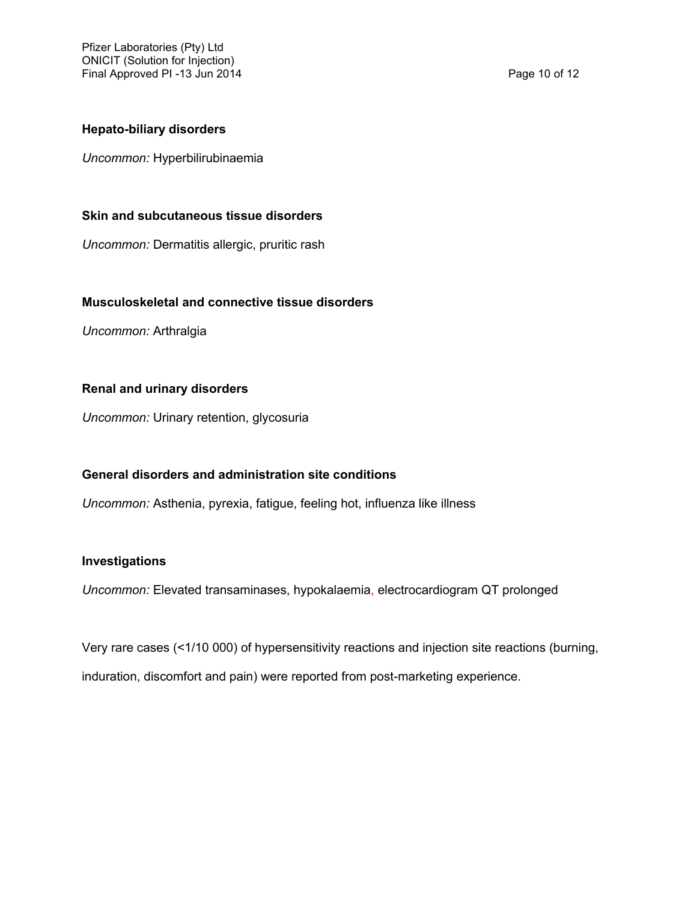#### **Hepato-biliary disorders**

*Uncommon:* Hyperbilirubinaemia

#### **Skin and subcutaneous tissue disorders**

*Uncommon:* Dermatitis allergic, pruritic rash

#### **Musculoskeletal and connective tissue disorders**

*Uncommon:* Arthralgia

#### **Renal and urinary disorders**

*Uncommon:* Urinary retention, glycosuria

## **General disorders and administration site conditions**

*Uncommon:* Asthenia, pyrexia, fatigue, feeling hot, influenza like illness

#### **Investigations**

*Uncommon:* Elevated transaminases, hypokalaemia, electrocardiogram QT prolonged

Very rare cases (<1/10 000) of hypersensitivity reactions and injection site reactions (burning, induration, discomfort and pain) were reported from post-marketing experience.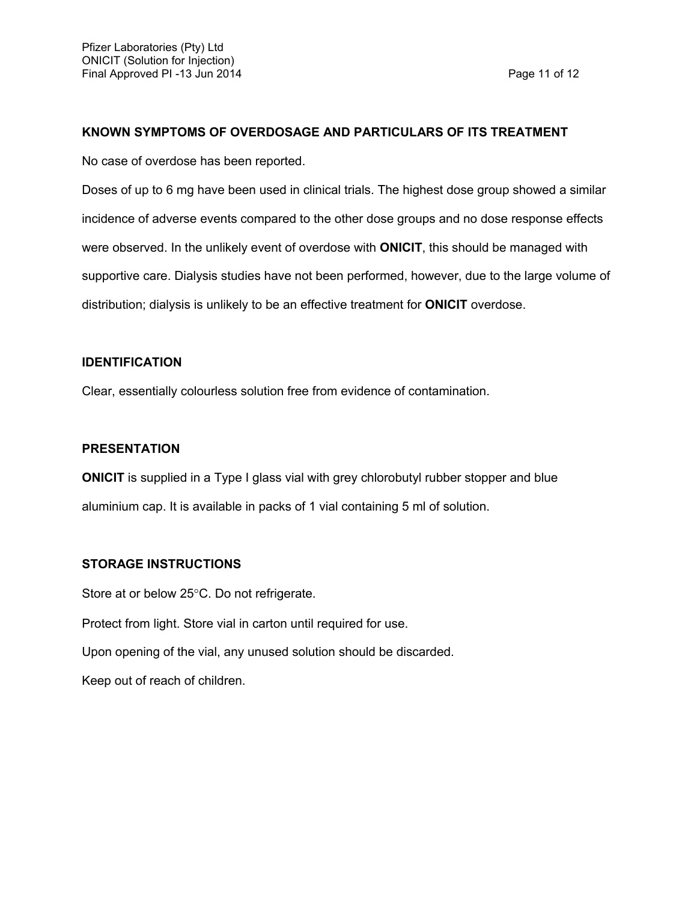#### **KNOWN SYMPTOMS OF OVERDOSAGE AND PARTICULARS OF ITS TREATMENT**

No case of overdose has been reported.

Doses of up to 6 mg have been used in clinical trials. The highest dose group showed a similar incidence of adverse events compared to the other dose groups and no dose response effects were observed. In the unlikely event of overdose with **ONICIT**, this should be managed with supportive care. Dialysis studies have not been performed, however, due to the large volume of distribution; dialysis is unlikely to be an effective treatment for **ONICIT** overdose.

#### **IDENTIFICATION**

Clear, essentially colourless solution free from evidence of contamination.

#### **PRESENTATION**

**ONICIT** is supplied in a Type I glass vial with grey chlorobutyl rubber stopper and blue aluminium cap. It is available in packs of 1 vial containing 5 ml of solution.

## **STORAGE INSTRUCTIONS**

Store at or below 25°C. Do not refrigerate.

Protect from light. Store vial in carton until required for use.

Upon opening of the vial, any unused solution should be discarded.

Keep out of reach of children.